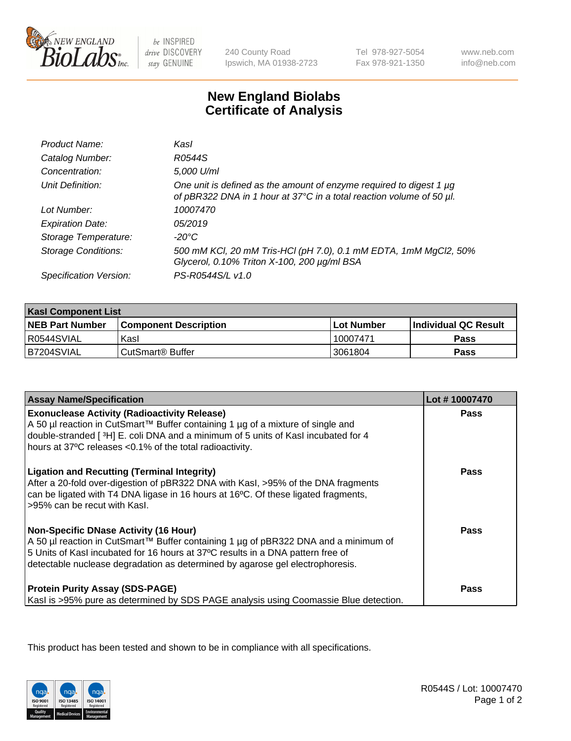

be INSPIRED drive DISCOVERY stay GENUINE

240 County Road Ipswich, MA 01938-2723

Tel 978-927-5054 Fax 978-921-1350

www.neb.com info@neb.com

## **New England Biolabs Certificate of Analysis**

| Product Name:              | Kasl                                                                                                                                        |
|----------------------------|---------------------------------------------------------------------------------------------------------------------------------------------|
| Catalog Number:            | R0544S                                                                                                                                      |
| Concentration:             | 5,000 U/ml                                                                                                                                  |
| Unit Definition:           | One unit is defined as the amount of enzyme required to digest 1 µg<br>of pBR322 DNA in 1 hour at 37°C in a total reaction volume of 50 µl. |
| Lot Number:                | 10007470                                                                                                                                    |
| <b>Expiration Date:</b>    | 05/2019                                                                                                                                     |
| Storage Temperature:       | -20°C                                                                                                                                       |
| <b>Storage Conditions:</b> | 500 mM KCI, 20 mM Tris-HCI (pH 7.0), 0.1 mM EDTA, 1mM MgCl2, 50%<br>Glycerol, 0.10% Triton X-100, 200 µg/ml BSA                             |
| Specification Version:     | PS-R0544S/L v1.0                                                                                                                            |

| <b>Kasl Component List</b> |                              |                   |                             |  |
|----------------------------|------------------------------|-------------------|-----------------------------|--|
| <b>NEB Part Number</b>     | <b>Component Description</b> | <b>Lot Number</b> | <b>Individual QC Result</b> |  |
| I R0544SVIAL               | Kasl                         | 10007471          | <b>Pass</b>                 |  |
| B7204SVIAL                 | l CutSmart® Buffer           | 3061804           | Pass                        |  |

| <b>Assay Name/Specification</b>                                                                                                                                                                                                                                                                         | Lot #10007470 |
|---------------------------------------------------------------------------------------------------------------------------------------------------------------------------------------------------------------------------------------------------------------------------------------------------------|---------------|
| <b>Exonuclease Activity (Radioactivity Release)</b><br>A 50 µl reaction in CutSmart™ Buffer containing 1 µg of a mixture of single and                                                                                                                                                                  | <b>Pass</b>   |
| double-stranded [3H] E. coli DNA and a minimum of 5 units of Kasl incubated for 4<br>hours at 37°C releases <0.1% of the total radioactivity.                                                                                                                                                           |               |
| <b>Ligation and Recutting (Terminal Integrity)</b><br>After a 20-fold over-digestion of pBR322 DNA with Kasl, >95% of the DNA fragments<br>can be ligated with T4 DNA ligase in 16 hours at 16°C. Of these ligated fragments,<br>>95% can be recut with Kasl.                                           | Pass          |
| <b>Non-Specific DNase Activity (16 Hour)</b><br>A 50 µl reaction in CutSmart™ Buffer containing 1 µg of pBR322 DNA and a minimum of<br>5 Units of Kasl incubated for 16 hours at 37°C results in a DNA pattern free of<br>detectable nuclease degradation as determined by agarose gel electrophoresis. | Pass          |
| <b>Protein Purity Assay (SDS-PAGE)</b><br>Kasl is >95% pure as determined by SDS PAGE analysis using Coomassie Blue detection.                                                                                                                                                                          | Pass          |

This product has been tested and shown to be in compliance with all specifications.